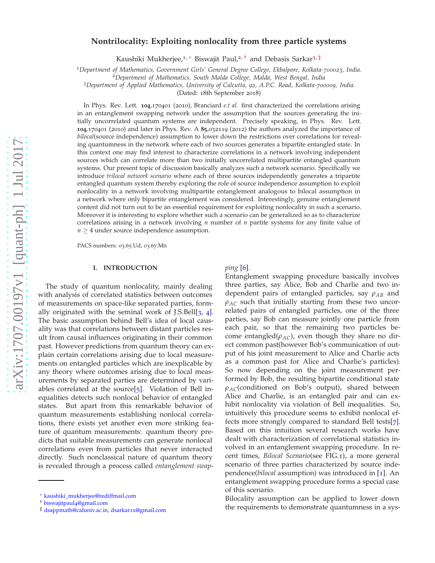# arXiv:1707.00197v1 [quant-ph] 1 Jul 2017 [arXiv:1707.00197v1 \[quant-ph\] 1 Jul 2017](http://arxiv.org/abs/1707.00197v1)

# **Nontrilocality: Exploiting nonlocality from three particle systems**

Kaushiki Mukherjee,<sup>1, \*</sup> Biswajit Paul,<sup>2, [†](#page-0-1)</sup> and Debasis Sarkar<sup>3, [‡](#page-0-2)</sup>

<sup>1</sup>*Department of Mathematics, Government Girls' General Degree College, Ekbalpore, Kolkata-700023, India.*

<sup>2</sup>*Department of Mathematics, South Malda College, Malda, West Bengal, India*

<sup>3</sup>*Department of Applied Mathematics, University of Calcutta, 92, A.P.C. Road, Kolkata-700009, India.*

(Dated: 18th September 2018)

In Phys. Rev. Lett. **104**,170401 (2010), Branciard *e.t al.* first characterized the correlations arising in an entanglement swapping network under the assumption that the sources generating the initially uncorrelated quantum systems are independent. Precisely speaking, in Phys. Rev. Lett. **104**,170401 (2010) and later in Phys. Rev. A **85**,032119 (2012) the authors analyzed the importance of *bilocal*(source independence) assumption to lower down the restrictions over correlations for revealing quantumness in the network where each of two sources generates a bipartite entangled state. In this context one may find interest to characterize correlations in a network involving independent sources which can correlate more than two initially uncorrelated multipartite entangled quantum systems. Our present topic of discussion basically analyzes such a network scenario. Specifically we introduce *trilocal network scenario* where each of three sources independently generates a tripartite entangled quantum system thereby exploring the role of source independence assumption to exploit nonlocality in a network involving multipartite entanglement analogous to bilocal assumption in a network where only bipartite entanglement was considered. Interestingly, genuine entanglement content did not turn out to be an essential requirement for exploiting nonlocality in such a scenario. Moreover it is interesting to explore whether such a scenario can be generalized so as to characterize correlations arising in a network involving *n* number of *n* partite systems for any finite value of  $n \geq 4$  under source independence assumption.

PACS numbers: 03.65.Ud, 03.67.Mn

### **I. INTRODUCTION**

The study of quantum nonlocality, mainly dealing with analysis of correlated statistics between outcomes of measurements on space-like separated parties, formally originated with the seminal work of J.S.Bell[[3](#page-10-0), [4](#page-10-1)]. The basic assumption behind Bell's idea of local causality was that correlations between distant particles result from causal influences originating in their common past. However predictions from quantum theory can explain certain correlations arising due to local measurements on entangled particles which are inexplicable by any theory where outcomes arising due to local measurements by separated parties are determined by variables correlated at the source $[5]$  $[5]$  $[5]$ . Violation of Bell inequalities detects such nonlocal behavior of entangled states. But apart from this remarkable behavior of quantum measurements establishing nonlocal correlations, there exists yet another even more striking feature of quantum measurements: quantum theory predicts that suitable measurements can generate nonlocal correlations even from particles that never interacted directly. Such nonclassical nature of quantum theory is revealed through a process called *entanglement swap-*

#### *ping* [[6](#page-10-3)].

Entanglement swapping procedure basically involves three parties, say Alice, Bob and Charlie and two independent pairs of entangled particles, say *ρAB* and *ρAC* such that initially starting from these two uncorrelated pairs of entangled particles, one of the three parties, say Bob can measure jointly one particle from each pair, so that the remaining two particles become entangled( $\rho_{AC}$ ), even though they share no direct common past(however Bob's communication of output of his joint measurement to Alice and Charlie acts as a common past for Alice and Charlie's particles). So now depending on the joint measurement performed by Bob, the resulting bipartite conditional state *ρAC*(conditioned on Bob's output), shared between Alice and Charlie, is an entangled pair and can exhibit nonlocality via violation of Bell inequalities. So, intuitively this procedure seems to exhibit nonlocal effects more strongly compared to standard Bell tests[[7](#page-10-4)]. Based on this intuition several research works have dealt with characterization of correlational statistics involved in an entanglement swapping procedure. In recent times, *Bilocal Scenario*(see FIG.1), a more general scenario of three parties characterized by source independence(*bilocal* assumption) was introduced in [[1](#page-10-5)]. An entanglement swapping procedure forms a special case of this scenario.

Bilocality assumption can be applied to lower down the requirements to demonstrate quantumness in a sys-

<span id="page-0-0"></span><sup>∗</sup> [kaushiki\\_mukherjee@rediffmail.com](mailto:kaushiki_mukherjee@rediffmail.com)

<span id="page-0-1"></span><sup>†</sup> [biswajitpaul](mailto:biswajitpaul4@gmail.com)4@gmail.com

<span id="page-0-2"></span><sup>‡</sup> [dsappmath@caluniv.ac.in, dsarkar](mailto:dsappmath@caluniv.ac.in, dsarkar1x@gmail.com)1x@gmail.com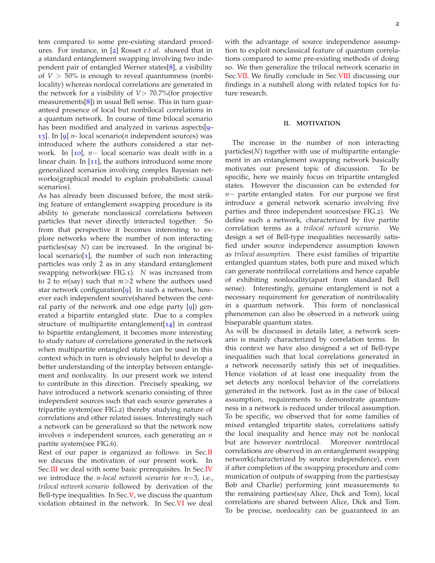tem compared to some pre-existing standard procedures. For instance, in [[2](#page-10-6)] Rosset *e.t al.* showed that in a standard entanglement swapping involving two independent pair of entangled Werner states[[8](#page-10-7)], a visibility of  $V > 50\%$  is enough to reveal quantumness (nonbilocality) whereas nonlocal correlations are generated in the network for a visibility of *V*> 70.7%(for projective measurements[[8](#page-10-7)]) in usual Bell sense. This in turn guaranteed presence of local but nonbilocal correlations in a quantum network. In course of time bilocal scenario has been modified and analyzed in various aspects[[9](#page-10-8)– [13](#page-11-0)]. In [[9](#page-10-8)] *n*- local scenario(*n* independent sources) was introduced where the authors considered a star network. In [[10](#page-11-1)], *n*− local scenario was dealt with in a linear chain. In  $[11]$  $[11]$  $[11]$ , the authors introduced some more generalized scenarios involving complex Bayesian networks(graphical model to explain probabilistic causal scenarios).

As has already been discussed before, the most striking feature of entanglement swapping procedure is its ability to generate nonclassical correlations between particles that never directly interacted together. So from that perspective it becomes interesting to explore networks where the number of non interacting particles(say *N*) can be increased. In the original bilocal scenario[ $1$ ], the number of such non interacting particles was only 2 as in any standard entanglement swapping network(see FIG.1). *N* was increased from to 2 to *m*(say) such that *m*>2 where the authors used star network configuration[[9](#page-10-8)]. In such a network, however each independent source(shared between the central party of the network and one edge party [[9](#page-10-8)]) generated a bipartite entangled state. Due to a complex structure of multipartite entanglement[[14](#page-11-3)] in contrast to bipartite entanglement, it becomes more interesting to study nature of correlations generated in the network when multipartite entangled states can be used in this context which in turn is obviously helpful to develop a better understanding of the interplay between entanglement and nonlocality. In our present work we intend to contribute in this direction. Precisely speaking, we have introduced a network scenario consisting of three independent sources such that each source generates a tripartite system(see FIG.2) thereby studying nature of correlations and other related issues. Interestingly such a network can be generalized so that the network now involves *n* independent sources, each generating an *n* partite system(see FIG.6).

Rest of our paper is organized as follows: in Sec[.II](#page-1-0) we discuss the motivation of our present work. In Sec[.III](#page-2-0) we deal with some basic prerequisites. In Sec[.IV](#page-3-0) we introduce the *n-local network scenario* for *n*=3, i.e., *trilocal network scenario* followed by derivation of the Bell-type inequalities. In Sec[.V,](#page-4-0) we discuss the quantum violation obtained in the network. In Sec[.VI](#page-7-0) we deal

with the advantage of source independence assumption to exploit nonclassical feature of quantum correlations compared to some pre-existing methods of doing so. We then generalize the trilocal network scenario in Sec[.VII.](#page-8-0) We finally conclude in Sec[.VIII](#page-10-9) discussing our findings in a nutshell along with related topics for future research.

# <span id="page-1-0"></span>**II. MOTIVATION**

The increase in the number of non interacting particles(*N*) together with use of multipartite entanglement in an entanglement swapping network basically motivates our present topic of discussion. To be specific, here we mainly focus on tripartite entangled states. However the discussion can be extended for *n*− partite entangled states. For our purpose we first introduce a general network scenario involving five parties and three independent sources(see FIG.2). We define such a network, characterized by five partite correlation terms as a *trilocal network scenario*. We design a set of Bell-type inequalities necessarily satisfied under source independence assumption known as *trilocal assumption*. There exist families of tripartite entangled quantum states, both pure and mixed which can generate nontrilocal correlations and hence capable of exhibiting nonlocality(apart from standard Bell sense). Interestingly, genuine entanglement is not a necessary requirement for generation of nontrilocality in a quantum network. This form of nonclassical phenomenon can also be observed in a network using biseparable quantum states.

As will be discussed in details later, a network scenario is mainly characterized by correlation terms. In this context we have also designed a set of Bell-type inequalities such that local correlations generated in a network necessarily satisfy this set of inequalities. Hence violation of at least one inequality from the set detects any nonlocal behavior of the correlations generated in the network. Just as in the case of bilocal assumption, requirements to demonstrate quantumness in a network is reduced under trilocal assumption. To be specific, we observed that for some families of mixed entangled tripartite states, correlations satisfy the local inequality and hence may not be nonlocal but are however nontrilocal. Moreover nontrilocal correlations are observed in an entanglement swapping network(characterized by source independence), even if after completion of the swapping procedure and communication of outputs of swapping from the parties(say Bob and Charlie) performing joint measurements to the remaining parties(say Alice, Dick and Tom), local correlations are shared between Alice, Dick and Tom. To be precise, nonlocality can be guaranteed in an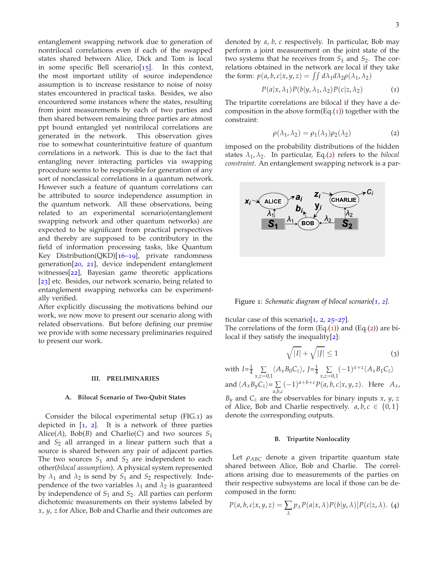entanglement swapping network due to generation of nontrilocal correlations even if each of the swapped states shared between Alice, Dick and Tom is local in some specific Bell scenario $[15]$  $[15]$  $[15]$ . In this context, the most important utility of source independence assumption is to increase resistance to noise of noisy states encountered in practical tasks. Besides, we also encountered some instances where the states, resulting from joint measurements by each of two parties and then shared between remaining three parties are atmost ppt bound entangled yet nontrilocal correlations are generated in the network. This observation gives rise to somewhat counterintuitive feature of quantum correlations in a network. This is due to the fact that entangling never interacting particles via swapping procedure seems to be responsible for generation of any sort of nonclassical correlations in a quantum network. However such a feature of quantum correlations can be attributed to source independence assumption in the quantum network. All these observations, being related to an experimental scenario(entanglement swapping network and other quantum networks) are expected to be significant from practical perspectives and thereby are supposed to be contributory in the field of information processing tasks, like Quantum Key Distribution(QKD)[[16](#page-11-5)–[19](#page-11-6)], private randomness generation[[20](#page-11-7), [21](#page-11-8)], device independent entanglement witnesses[[22](#page-11-9)], Bayesian game theoretic applications [[23](#page-11-10)] etc. Besides, our network scenario, being related to entanglement swapping networks can be experimentally verified.

After explicitly discussing the motivations behind our work, we now move to present our scenario along with related observations. But before defining our premise we provide with some necessary preliminaries required to present our work.

#### <span id="page-2-0"></span>**III. PRELIMINARIES**

#### **A. Bilocal Scenario of Two-Qubit States**

Consider the bilocal experimental setup (FIG.1) as depicted in  $\begin{bmatrix} 1, 2 \end{bmatrix}$  $\begin{bmatrix} 1, 2 \end{bmatrix}$  $\begin{bmatrix} 1, 2 \end{bmatrix}$  $\begin{bmatrix} 1, 2 \end{bmatrix}$  $\begin{bmatrix} 1, 2 \end{bmatrix}$ . It is a network of three parties Alice(*A*), Bob(*B*) and Charlie(*C*) and two sources *S*<sup>1</sup> and *S*<sup>2</sup> all arranged in a linear pattern such that a source is shared between any pair of adjacent parties. The two sources  $S_1$  and  $S_2$  are independent to each other(*bilocal assumption*). A physical system represented by  $\lambda_1$  and  $\lambda_2$  is send by  $S_1$  and  $S_2$  respectively. Independence of the two variables  $\lambda_1$  and  $\lambda_2$  is guaranteed by independence of *S*<sup>1</sup> and *S*2. All parties can perform dichotomic measurements on their systems labeled by *x*, *y*, *z* for Alice, Bob and Charlie and their outcomes are

denoted by *a*, *b*, *c* respectively. In particular, Bob may perform a joint measurement on the joint state of the two systems that he receives from  $S_1$  and  $S_2$ . The correlations obtained in the network are local if they take the form:  $p(a, b, c | x, y, z) = \int \int d\lambda_1 d\lambda_2 \rho(\lambda_1, \lambda_2)$ 

<span id="page-2-1"></span>
$$
P(a|x, \lambda_1)P(b|y, \lambda_1, \lambda_2)P(c|z, \lambda_2)
$$
 (1)

The tripartite correlations are bilocal if they have a decomposition in the above form $(Eq.(1))$  $(Eq.(1))$  $(Eq.(1))$  together with the constraint:

<span id="page-2-2"></span>
$$
\rho(\lambda_1, \lambda_2) = \rho_1(\lambda_1)\rho_2(\lambda_2) \tag{2}
$$

imposed on the probability distributions of the hidden states  $\lambda_1, \lambda_2$  $\lambda_1, \lambda_2$ . In particular, Eq.(2) refers to the *bilocal constraint*. An entanglement swapping network is a par-



Figure 1: *Schematic diagram of bilocal scenario[[1](#page-10-5), [2](#page-10-6)].*

ticular case of this scenario[ $1, 2, 25-27$  $1, 2, 25-27$  $1, 2, 25-27$  $1, 2, 25-27$  $1, 2, 25-27$  $1, 2, 25-27$  $1, 2, 25-27$ ]. The correlations of the form  $(Eq.(1))$  $(Eq.(1))$  $(Eq.(1))$  and  $(Eq.(2))$  $(Eq.(2))$  $(Eq.(2))$  are bilocal if they satisfy the inequality $[2]$  $[2]$  $[2]$ :

$$
\sqrt{|I|} + \sqrt{|J|} \le 1\tag{3}
$$

with  $I = \frac{1}{4} \sum_{x,z=0,1} \langle A_x B_0 C_z \rangle$ ,  $J = \frac{1}{4} \sum_{x,z=0,1} (-1)^{x+z} \langle A_x B_1 C_z \rangle$ and  $\langle A_x B_y C_z \rangle = \sum_{a,b,c} (-1)^{a+b+c} P(a,b,c|x,y,z)$ . Here  $A_x$ ,

 $B_y$  and  $C_z$  are the observables for binary inputs *x*, *y*, *z* of Alice, Bob and Charlie respectively.  $a, b, c \in \{0, 1\}$ denote the corresponding outputs.

#### <span id="page-2-3"></span>**B. Tripartite Nonlocality**

Let *ρABC* denote a given tripartite quantum state shared between Alice, Bob and Charlie. The correlations arising due to measurements of the parties on their respective subsystems are local if those can be decomposed in the form:

$$
P(a,b,c|x,y,z) = \sum_{\lambda} p_{\lambda} P(a|x,\lambda) P(b|y,\lambda) P(c|z,\lambda). \tag{4}
$$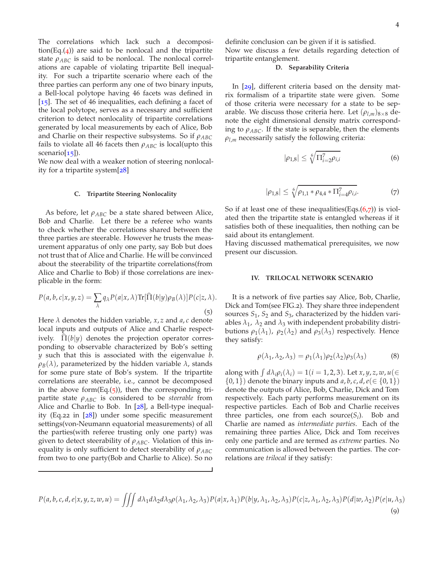The correlations which lack such a decomposi-tion(Eq.([4](#page-2-3))) are said to be nonlocal and the tripartite state  $\rho_{ABC}$  is said to be nonlocal. The nonlocal correlations are capable of violating tripartite Bell inequality. For such a tripartite scenario where each of the three parties can perform any one of two binary inputs, a Bell-local polytope having 46 facets was defined in [[15](#page-11-4)]. The set of 46 inequalities, each defining a facet of the local polytope, serves as a necessary and sufficient criterion to detect nonlocality of tripartite correlations generated by local measurements by each of Alice, Bob and Charlie on their respective subsystems. So if *ρABC* fails to violate all 46 facets then  $\rho_{ABC}$  is local(upto this scenario $[15]$  $[15]$  $[15]$ ).

We now deal with a weaker notion of steering nonlocality for a tripartite system[[28](#page-11-13)]

#### **C. Tripartite Steering Nonlocality**

As before, let *ρABC* be a state shared between Alice, Bob and Charlie. Let there be a referee who wants to check whether the correlations shared between the three parties are steerable. However he trusts the measurement apparatus of only one party, say Bob but does not trust that of Alice and Charlie. He will be convinced about the steerability of the tripartite correlations(from Alice and Charlie to Bob) if those correlations are inexplicable in the form:

<span id="page-3-1"></span>
$$
P(a,b,c|x,y,z) = \sum_{\lambda} q_{\lambda} P(a|x,\lambda) \text{Tr}[\hat{\Pi}(b|y)\rho_B(\lambda)] P(c|z,\lambda).
$$
\n(5)

Here  $\lambda$  denotes the hidden variable,  $x$ ,  $z$  and  $a$ ,  $c$  denote local inputs and outputs of Alice and Charlie respectively.  $\Pi(b|y)$  denotes the projection operator corresponding to observable characterized by Bob's setting *y* such that this is associated with the eigenvalue *b*.  $\rho_B(\lambda)$ , parameterized by the hidden variable  $\lambda$ , stands for some pure state of Bob's system. If the tripartite correlations are steerable, i.e., cannot be decomposed in the above form(Eq. $(5)$  $(5)$  $(5)$ ), then the corresponding tripartite state *ρABC* is considered to be *steerable* from Alice and Charlie to Bob. In [[28](#page-11-13)], a Bell-type inequality (Eq.22 in [[28](#page-11-13)]) under some specific measurement settings(von-Neumann equatorial measurements) of all the parties(with referee trusting only one party) was given to detect steerability of *ρABC*. Violation of this inequality is only sufficient to detect steerability of *ρABC* from two to one party(Bob and Charlie to Alice). So no

definite conclusion can be given if it is satisfied.

Now we discuss a few details regarding detection of tripartite entanglement.

# **D. Separability Criteria**

In [[29](#page-11-14)], different criteria based on the density matrix formalism of a tripartite state were given. Some of those criteria were necessary for a state to be separable. We discuss those criteria here. Let  $(\rho_{l,m})_{8\times 8}$  denote the eight dimensional density matrix corresponding to  $\rho_{ABC}$ . If the state is separable, then the elements  $\rho$ <sub>*l*,*m*</sub> necessarily satisfy the following criteria:

<span id="page-3-2"></span>
$$
|\rho_{1,8}| \le \sqrt[6]{\Pi_{i=2}^7 \rho_{i,i}} \tag{6}
$$

$$
|\rho_{1,8}| \le \sqrt[6]{\rho_{1,1} * \rho_{4,4} * \Pi_{i=4}^{7} \rho_{i,i}}.
$$
 (7)

<span id="page-3-3"></span>So if at least one of these inequalities(Eqs. $(6,7)$  $(6,7)$  $(6,7)$  $(6,7)$  $(6,7)$ ) is violated then the tripartite state is entangled whereas if it satisfies both of these inequalities, then nothing can be said about its entanglement.

Having discussed mathematical prerequisites, we now present our discussion.

# <span id="page-3-0"></span>**IV. TRILOCAL NETWORK SCENARIO**

It is a network of five parties say Alice, Bob, Charlie, Dick and Tom(see FIG.2). They share three independent sources *S*<sup>1</sup> , *S*<sup>2</sup> and *S*3, characterized by the hidden variables  $\lambda_1$ ,  $\lambda_2$  and  $\lambda_3$  with independent probability distributions  $ρ_1(λ_1)$ ,  $ρ_2(λ_2)$  and  $ρ_3(λ_3)$  respectively. Hence they satisfy:

<span id="page-3-4"></span>
$$
\rho(\lambda_1, \lambda_2, \lambda_3) = \rho_1(\lambda_1)\rho_2(\lambda_2)\rho_3(\lambda_3)
$$
 (8)

along with  $\int d\lambda_i \rho_i(\lambda_i) = 1(i = 1, 2, 3)$ . Let *x*, *y*, *z*, *w*, *u*(∈  $\{0, 1\}$  denote the binary inputs and *a*, *b*, *c*, *d*, *e*( $\in \{0, 1\}$ ) denote the outputs of Alice, Bob, Charlie, Dick and Tom respectively. Each party performs measurement on its respective particles. Each of Bob and Charlie receives three particles, one from each source( $S_i$ ). Bob and Charlie are named as *intermediate parties*. Each of the remaining three parties Alice, Dick and Tom receives only one particle and are termed as *extreme* parties. No communication is allowed between the parties. The correlations are *trilocal* if they satisfy:

<span id="page-3-5"></span>
$$
P(a,b,c,d,e|x,y,z,w,u) = \iiint d\lambda_1 d\lambda_2 d\lambda_3 \rho(\lambda_1,\lambda_2,\lambda_3) P(a|x,\lambda_1) P(b|y,\lambda_1,\lambda_2,\lambda_3) P(c|z,\lambda_1,\lambda_2,\lambda_3) P(d|w,\lambda_2) P(e|u,\lambda_3)
$$
\n(9)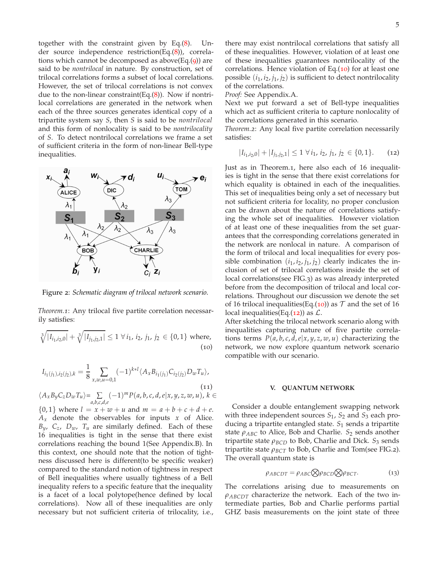together with the constraint given by Eq.([8](#page-3-4)). Under source independence restriction(Eq.([8](#page-3-4))), correlations which cannot be decomposed as above(Eq. $(9)$  $(9)$  $(9)$ ) are said to be *nontrilocal* in nature. By construction, set of trilocal correlations forms a subset of local correlations. However, the set of trilocal correlations is not convex due to the non-linear constraint(Eq. $(8)$  $(8)$  $(8)$ ). Now if nontrilocal correlations are generated in the network when each of the three sources generates identical copy of a tripartite system say *S*, then *S* is said to be *nontrilocal* and this form of nonlocality is said to be *nontrilocality* of *S*. To detect nontrilocal correlations we frame a set of sufficient criteria in the form of non-linear Bell-type inequalities.



Figure 2: *Schematic diagram of trilocal network scenario.*

*Theorem.1*: Any trilocal five partite correlation necessarily satisfies:

<span id="page-4-1"></span>
$$
\sqrt[3]{|I_{i_1,i_2,0}|} + \sqrt[3]{|I_{j_1,j_2,1}|} \le 1 \,\forall i_1, i_2, j_1, j_2 \in \{0,1\} \text{ where,}
$$
\n(10)

$$
I_{i_1(j_1), i_2(j_2), k} = \frac{1}{8} \sum_{x, w, u = 0, 1} (-1)^{k \times l} \langle A_x B_{i_1(j_1)} C_{i_2(j_2)} D_w T_u \rangle,
$$
  
\n
$$
\langle A_x B_y C_z D_w T_u \rangle = \sum_{x, w, u \in \mathbb{Z}^+} (-1)^m P(a, b, c, d, e | x, y, z, w, u), k \in
$$

*a*,*b*,*c*,*d*,*e*  ${0, 1}$  where  $l = x + w + u$  and  $m = a + b + c + d + e$ .  $A_x$  denote the observables for inputs *x* of Alice.  $B_y$ ,  $C_z$ ,  $D_w$ ,  $T_u$  are similarly defined. Each of these 16 inequalities is tight in the sense that there exist correlations reaching the bound 1(See Appendix.B). In this context, one should note that the notion of tightness discussed here is different(to be specific weaker) compared to the standard notion of tightness in respect of Bell inequalities where usually tightness of a Bell inequality refers to a specific feature that the inequality is a facet of a local polytope(hence defined by local correlations). Now all of these inequalities are only necessary but not sufficient criteria of trilocality, i.e.,

there may exist nontrilocal correlations that satisfy all of these inequalities. However, violation of at least one of these inequalities guarantees nontrilocality of the correlations. Hence violation of  $Eq.(10)$  $Eq.(10)$  $Eq.(10)$  for at least one possible (*i*<sup>1</sup> , *i*2, *j*<sup>1</sup> , *j*2) is sufficient to detect nontrilocality of the correlations.

*Proof:* See Appendix.A.

Next we put forward a set of Bell-type inequalities which act as sufficient criteria to capture nonlocality of the correlations generated in this scenario.

*Theorem.2*: Any local five partite correlation necessarily satisfies:

<span id="page-4-2"></span>
$$
|I_{i_1,i_2,0}|+|I_{j_1,j_2,1}|\leq 1\,\forall\,i_1,\,i_2,\,j_1,\,j_2\,\in\{0,1\}.\qquad(12)
$$

Just as in Theorem.1, here also each of 16 inequalities is tight in the sense that there exist correlations for which equality is obtained in each of the inequalities. This set of inequalities being only a set of necessary but not sufficient criteria for locality, no proper conclusion can be drawn about the nature of correlations satisfying the whole set of inequalities. However violation of at least one of these inequalities from the set guarantees that the corresponding correlations generated in the network are nonlocal in nature. A comparison of the form of trilocal and local inequalities for every possible combination  $(i_1, i_2, j_1, j_2)$  clearly indicates the inclusion of set of trilocal correlations inside the set of local correlations(see FIG.3) as was already interpreted before from the decomposition of trilocal and local correlations. Throughout our discussion we denote the set of 16 trilocal inequalities(Eq.([10](#page-4-1))) as  $\mathcal T$  and the set of 16 local inequalities(Eq.([12](#page-4-2))) as  $\mathcal{L}$ .

After sketching the trilocal network scenario along with inequalities capturing nature of five partite correlations terms  $P(a, b, c, d, e | x, y, z, w, u)$  characterizing the network, we now explore quantum network scenario compatible with our scenario.

#### <span id="page-4-0"></span>**V. QUANTUM NETWORK**

Consider a double entanglement swapping network with three independent sources *S*1, *S*<sup>2</sup> and *S*<sup>3</sup> each producing a tripartite entangled state. *S*<sup>1</sup> sends a tripartite state  $\rho_{ABC}$  to Alice, Bob and Charlie.  $S_2$  sends another tripartite state *ρBCD* to Bob, Charlie and Dick. *S*<sup>3</sup> sends tripartite state *ρ*<sub>*BCT*</sub> to Bob, Charlie and Tom(see FIG.2). The overall quantum state is

$$
\rho_{ABCDT} = \rho_{ABC} \bigotimes \rho_{BCD} \bigotimes \rho_{BCT}.\tag{13}
$$

The correlations arising due to measurements on *ρABCDT* characterize the network. Each of the two intermediate parties, Bob and Charlie performs partial GHZ basis measurements on the joint state of three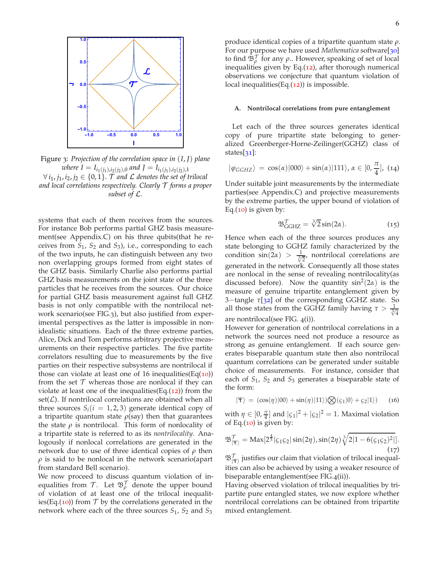

Figure 3: *Projection of the correlation space in* (*I*, *J*) *plane where*  $I = I_{i_1(j_1), i_2(j_2),0}$  and  $J = I_{i_1(j_1), i_2(j_2),1}$ ∀ *i*<sup>1</sup> , *j*1 , *i*2, *j*<sup>2</sup> ∈ {0, 1}. T *and* L *denotes the set of trilocal and local correlations respectively. Clearly* T *forms a proper subset of* L*.*

systems that each of them receives from the sources. For instance Bob performs partial GHZ basis measurement(see Appendix.C) on his three qubits(that he receives from *S*<sup>1</sup> , *S*<sup>2</sup> and *S*3), i.e., corresponding to each of the two inputs, he can distinguish between any two non overlapping groups formed from eight states of the GHZ basis. Similarly Charlie also performs partial GHZ basis measurements on the joint state of the three particles that he receives from the sources. Our choice for partial GHZ basis measurement against full GHZ basis is not only compatible with the nontrilocal network scenario(see FIG.3), but also justified from experimental perspectives as the latter is impossible in nonidealistic situations. Each of the three extreme parties, Alice, Dick and Tom performs arbitrary projective measurements on their respective particles. The five partite correlators resulting due to measurements by the five parties on their respective subsystems are nontrilocal if those can violate at least one of 16 inequalities( $Eq(10)$  $Eq(10)$  $Eq(10)$ ) from the set  $T$  whereas those are nonlocal if they can violate at least one of the inequalities(Eq. $(12)$  $(12)$  $(12)$ ) from the  $\text{set}(\mathcal{L})$ . If nontrilocal correlations are obtained when all three sources  $S_i(i = 1, 2, 3)$  generate identical copy of a tripartite quantum state  $\rho$ (say) then that guarantees the state  $\rho$  is nontrilocal. This form of nonlocality of a tripartite state is referred to as its *nontrilocality*. Analogously if nonlocal correlations are generated in the network due to use of three identical copies of *ρ* then *ρ* is said to be nonlocal in the network scenario(apart from standard Bell scenario).

We now proceed to discuss quantum violation of inequalities from  $\mathcal{T}$ . Let  $\mathfrak{B}_{\rho}^{\mathcal{T}}$  denote the upper bound of violation of at least one of the trilocal inequalit-ies(Eq.([10](#page-4-1))) from  $T$  by the correlations generated in the network where each of the three sources *S*<sup>1</sup> , *S*<sup>2</sup> and *S*<sup>3</sup>

produce identical copies of a tripartite quantum state *ρ*. For our purpose we have used *Mathematica* software[[30](#page-11-15)] to find  $\mathfrak{B}_{\rho}^{\mathcal{T}}$  for any  $\rho$ .. However, speaking of set of local inequalities given by Eq. $(12)$  $(12)$  $(12)$ , after thorough numerical observations we conjecture that quantum violation of local inequalities(Eq. $(12)$  $(12)$  $(12)$ ) is impossible.

### **A. Nontrilocal correlations from pure entanglement**

Let each of the three sources generates identical copy of pure tripartite state belonging to generalized Greenberger-Horne-Zeilinger(GGHZ) class of states[[31](#page-11-16)]:

<span id="page-5-0"></span>
$$
|\varphi_{GGHZ}\rangle = \cos(\alpha)|000\rangle + \sin(\alpha)|111\rangle, \alpha \in [0, \frac{\pi}{4}], (14)
$$

Under suitable joint measurements by the intermediate parties(see Appendix.C) and projective measurements by the extreme parties, the upper bound of violation of Eq. $(10)$  $(10)$  $(10)$  is given by:

$$
\mathfrak{B}_{\text{GGHZ}}^{\mathcal{T}} = \sqrt[3]{2}\sin(2\alpha). \tag{15}
$$

Hence when each of the three sources produces any state belonging to GGHZ family characterized by the condition  $\sin(2\alpha) > \frac{1}{\sqrt[3]{2}}$ , nontrilocal correlations are generated in the network. Consequently all those states are nonlocal in the sense of revealing nontrilocality(as discussed before). Now the quantity  $sin^2(2\alpha)$  is the measure of genuine tripartite entanglement given by 3−tangle *τ*[[32](#page-11-17)] of the corresponding GGHZ state. So all those states from the GGHZ family having  $\tau > \frac{1}{\sqrt[3]{4}}$ are nontrilocal(see FIG. 4(i)).

However for generation of nontrilocal correlations in a network the sources need not produce a resource as strong as genuine entanglement. If each source generates biseparable quantum state then also nontrilocal quantum correlations can be generated under suitable choice of measurements. For instance, consider that each of *S*1, *S*<sup>2</sup> and *S*<sup>3</sup> generates a biseparable state of the form:

<span id="page-5-1"></span>
$$
|\Psi\rangle\,=\,(\cos(\eta)|00\rangle+\sin(\eta)|11\rangle)\bigotimes(\varsigma_1|0\rangle+\varsigma_2|1\rangle)\qquad \hbox{(16)}
$$

with  $\eta \in [0, \frac{\pi}{4}]$  and  $| \varsigma_1 |^2 + | \varsigma_2 |^2 = 1$ . Maximal violation of Eq. $(10)$  $(10)$  $(10)$  is given by:

$$
\mathfrak{B}_{|\Psi\rangle}^{\mathcal{T}} = \text{Max}[2^{\frac{4}{3}} | \varsigma_1 \varsigma_2 | \sin(2\eta), \sin(2\eta) \sqrt[3]{2|1 - 6(\varsigma_1 \varsigma_2)^2|}].
$$
\n(17)

 $\mathfrak{B}^{\mathcal{T}}_{|\Psi\rangle}$  justifies our claim that violation of trilocal inequalities can also be achieved by using a weaker resource of biseparable entanglement(see FIG.4(ii)).

Having observed violation of trilocal inequalities by tripartite pure entangled states, we now explore whether nontrilocal correlations can be obtained from tripartite mixed entanglement.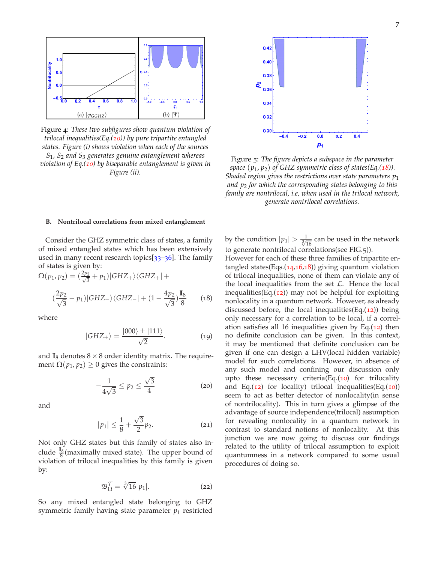

Figure 4: *These two subfigures show quantum violation of trilocal inequalities(Eq.([10](#page-4-1))) by pure tripartite entangled states. Figure (i) shows violation when each of the sources S*1*, S*<sup>2</sup> *and S*<sup>3</sup> *generates genuine entanglement whereas violation of Eq.([10](#page-4-1)) by biseparable entanglement is given in Figure (ii).*

# **B. Nontrilocal correlations from mixed entanglement**

Consider the GHZ symmetric class of states, a family of mixed entangled states which has been extensively used in many recent research topics $[33-36]$  $[33-36]$  $[33-36]$  $[33-36]$  $[33-36]$ . The family of states is given by:

$$
\Omega(p_1, p_2) = \left(\frac{2p_2}{\sqrt{3}} + p_1\right)|GHZ_+\rangle\langle GHZ_+| +
$$

$$
\left(\frac{2p_2}{\sqrt{3}} - p_1\right)|GHZ_-\rangle\langle GHZ_-| + \left(1 - \frac{4p_2}{\sqrt{3}}\right)\frac{\mathbb{I}_8}{8} \tag{18}
$$

<span id="page-6-1"></span>where

$$
|GHZ_{\pm}\rangle = \frac{|000\rangle \pm |111\rangle}{\sqrt{2}}.
$$
 (19)

and  $\mathbb{I}_8$  denotes  $8 \times 8$  order identity matrix. The requirement  $\Omega(p_1, p_2) \geq 0$  gives the constraints:

$$
-\frac{1}{4\sqrt{3}} \le p_2 \le \frac{\sqrt{3}}{4} \tag{20}
$$

and

$$
|p_1| \le \frac{1}{8} + \frac{\sqrt{3}}{2}p_2.
$$
 (21)

Not only GHZ states but this family of states also include  $\frac{\mathbb{I}_8}{8}$  (maximally mixed state). The upper bound of violation of trilocal inequalities by this family is given by:

$$
\mathfrak{B}_{\Omega}^{\mathcal{T}} = \sqrt[3]{16}|p_1|.
$$
 (22)

So any mixed entangled state belonging to GHZ symmetric family having state parameter  $p_1$  restricted



Figure 5: *The figure depicts a subspace in the parameter space* (*p*1, *p*2) *of GHZ symmetric class of states(Eq.([18](#page-6-0))). Shaded region gives the restrictions over state parameters p*<sup>1</sup> *and p*<sup>2</sup> *for which the corresponding states belonging to this family are nontrilocal, i.e, when used in the trilocal network, generate nontrilocal correlations.*

by the condition  $|p_1| > \frac{1}{\sqrt[3]{16}}$  can be used in the network to generate nontrilocal correlations(see FIG.5)).

<span id="page-6-0"></span>However for each of these three families of tripartite entangled states(Eqs. $(14,16,18)$  $(14,16,18)$  $(14,16,18)$  $(14,16,18)$  $(14,16,18)$  $(14,16,18)$  $(14,16,18)$ ) giving quantum violation of trilocal inequalities, none of them can violate any of the local inequalities from the set  $\mathcal{L}$ . Hence the local inequalities(Eq. $(12)$  $(12)$  $(12)$ ) may not be helpful for exploiting nonlocality in a quantum network. However, as already discussed before, the local inequalities(Eq. $(12)$  $(12)$  $(12)$ ) being only necessary for a correlation to be local, if a correlation satisfies all 16 inequalities given by Eq. $(12)$  $(12)$  $(12)$  then no definite conclusion can be given. In this context, it may be mentioned that definite conclusion can be given if one can design a LHV(local hidden variable) model for such correlations. However, in absence of any such model and confining our discussion only upto these necessary criteria( $Eq.(10)$  $Eq.(10)$  $Eq.(10)$  for trilocality and Eq.([12](#page-4-2)) for locality) trilocal inequalities(Eq.([10](#page-4-1))) seem to act as better detector of nonlocality(in sense of nontrilocality). This in turn gives a glimpse of the advantage of source independence(trilocal) assumption for revealing nonlocality in a quantum network in contrast to standard notions of nonlocality. At this junction we are now going to discuss our findings related to the utility of trilocal assumption to exploit quantumness in a network compared to some usual procedures of doing so.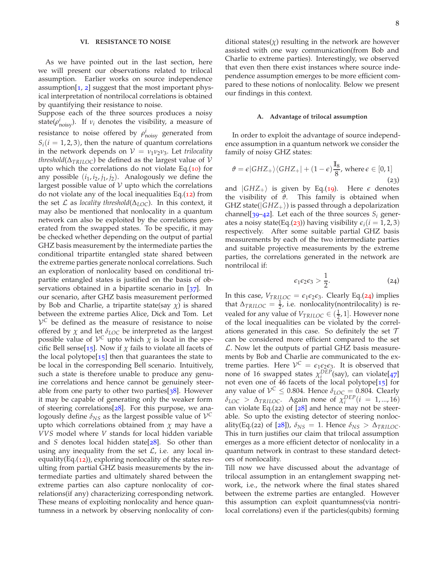## <span id="page-7-0"></span>**VI. RESISTANCE TO NOISE**

As we have pointed out in the last section, here we will present our observations related to trilocal assumption. Earlier works on source independence assumption $[1, 2]$  $[1, 2]$  $[1, 2]$  $[1, 2]$  $[1, 2]$  suggest that the most important physical interpretation of nontrilocal correlations is obtained by quantifying their resistance to noise.

Suppose each of the three sources produces a noisy state( $\rho_{\text{noisy}}^i$ ). If  $v_i$  denotes the visibility, a measure of resistance to noise offered by  $\rho_{\rm noisy}^i$  generated from  $S_i(i = 1, 2, 3)$ , then the nature of quantum correlations in the network depends on  $V = v_1v_2v_3$ . Let *trilocality threshold*( $\Delta_{TRILOC}$ ) be defined as the largest value of  $\hat{V}$ upto which the correlations do not violate Eq. $(10)$  $(10)$  $(10)$  for any possible (*i*<sup>1</sup> , *i*2, *j*<sup>1</sup> , *j*2). Analogously we define the largest possible value of  $V$  upto which the correlations do not violate any of the local inequalities  $Eq.(12)$  $Eq.(12)$  $Eq.(12)$  from the set L as *locality threshold*(∆*LOC*). In this context, it may also be mentioned that nonlocality in a quantum network can also be exploited by the correlations generated from the swapped states. To be specific, it may be checked whether depending on the output of partial GHZ basis measurement by the intermediate parties the conditional tripartite entangled state shared between the extreme parties generate nonlocal correlations. Such an exploration of nonlocality based on conditional tripartite entangled states is justified on the basis of observations obtained in a bipartite scenario in  $[37]$  $[37]$  $[37]$ . In our scenario, after GHZ basis measurement performed by Bob and Charlie, a tripartite state(say *χ*) is shared between the extreme parties Alice, Dick and Tom. Let  $V^C$  be defined as the measure of resistance to noise offered by  $\chi$  and let  $\delta_{LOC}$  be interpreted as the largest possible value of  $V^C$  upto which  $\chi$  is local in the spe-cific Bell sense<sup>[[15](#page-11-4)]</sup>. Now if  $\chi$  fails to violate all facets of the local polytope<sup>[[15](#page-11-4)]</sup> then that guarantees the state to be local in the corresponding Bell scenario. Intuitively, such a state is therefore unable to produce any genuine correlations and hence cannot be genuinely steerable from one party to other two parties  $[38]$  $[38]$  $[38]$ . However it may be capable of generating only the weaker form of steering correlations $[28]$  $[28]$  $[28]$ . For this purpose, we analogously define  $\delta_{NS}$  as the largest possible value of  $V^C$ upto which correlations obtained from *χ* may have a *VVS* model where *V* stands for local hidden variable and *S* denotes local hidden state[[28](#page-11-13)]. So other than using any inequality from the set  $\mathcal{L}$ , i.e. any local inequality(Eq. $(12)$  $(12)$  $(12)$ ), exploring nonlocality of the states resulting from partial GHZ basis measurements by the intermediate parties and ultimately shared between the extreme parties can also capture nonlocality of correlations(if any) characterizing corresponding network. These means of exploiting nonlocality and hence quantumness in a network by observing nonlocality of con-

ditional states( $\chi$ ) resulting in the network are however assisted with one way communication(from Bob and Charlie to extreme parties). Interestingly, we observed that even then there exist instances where source independence assumption emerges to be more efficient compared to these notions of nonlocality. Below we present our findings in this context.

#### <span id="page-7-1"></span>**A. Advantage of trilocal assumption**

In order to exploit the advantage of source independence assumption in a quantum network we consider the family of noisy GHZ states:

$$
\vartheta = \epsilon |GHZ_+\rangle \langle GHZ_+| + (1 - \epsilon) \frac{\mathbb{I}_8}{8}, \text{ where } \epsilon \in [0, 1]
$$
\n(23)

and  $|GHZ_+\rangle$  is given by Eq.([19](#page-6-1)). Here  $\epsilon$  denotes the visibility of  $\vartheta$ . This family is obtained when  $GHZ state(|GHZ_+\rangle)$  is passed through a depolarization channel[ $39-42$  $39-42$  $39-42$ ]. Let each of the three sources  $S_i$  gener-ates a noisy state(Eq.([23](#page-7-1))) having visibility  $\epsilon_i$ ( $i = 1, 2, 3$ ) respectively. After some suitable partial GHZ basis measurements by each of the two intermediate parties and suitable projective measurements by the extreme parties, the correlations generated in the network are nontrilocal if:

<span id="page-7-2"></span>
$$
\epsilon_1 \epsilon_2 \epsilon_3 > \frac{1}{2}.\tag{24}
$$

In this case,  $V_{TRILOC} = \epsilon_1 \epsilon_2 \epsilon_3$ . Clearly Eq.([24](#page-7-2)) implies that  $\Delta_{TRILOC} = \frac{1}{2}$ , i.e. nonlocality(nontrilocality) is revealed for any value of  $V_{TRILOC} \in (\frac{1}{2}, 1]$ . However none of the local inequalities can be violated by the correlations generated in this case. So definitely the set  $\mathcal T$ can be considered more efficient compared to the set  $\mathcal{L}$ . Now let the outputs of partial GHZ basis measurements by Bob and Charlie are communicated to the extreme parties. Here  $V^C = \epsilon_1 \epsilon_2 \epsilon_3$ . It is observed that none of 16 swapped states  $\chi_i^{DEP}$ (say), can violate[[47](#page-11-24)] not even one of 46 facets of the local polytope[[15](#page-11-4)] for any value of  $V^C \le 0.804$ . Hence  $\delta_{LOC} = 0.804$ . Clearly  $δ_{LOC} > Δ_{TRILOC}$ . Again none of  $χ_i^{DEP}(i = 1, ..., 16)$ can violate Eq.(22) of  $[28]$  $[28]$  $[28]$  and hence may not be steerable. So upto the existing detector of steering nonloc-ality(Eq.(22) of [[28](#page-11-13)]),  $\delta_{NS} = 1$ . Hence  $\delta_{NS} > \Delta_{TRILOC}$ . This in turn justifies our claim that trilocal assumption emerges as a more efficient detector of nonlocality in a quantum network in contrast to these standard detectors of nonlocality.

Till now we have discussed about the advantage of trilocal assumption in an entanglement swapping network, i.e., the network where the final states shared between the extreme parties are entangled. However this assumption can exploit quantumness(via nontrilocal correlations) even if the particles(qubits) forming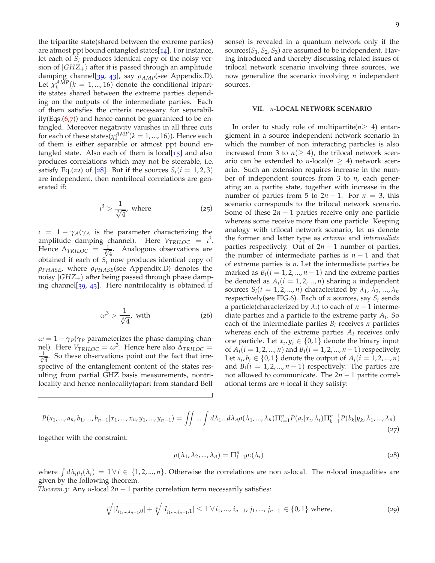the tripartite state(shared between the extreme parties) are atmost ppt bound entangled states[[14](#page-11-3)]. For instance, let each of *S<sup>i</sup>* produces identical copy of the noisy version of  $|GHZ_+\rangle$  after it is passed through an amplitude damping channel[[39](#page-11-22), [43](#page-11-25)], say *ρAMP*(see Appendix.D). Let  $\chi_k^{AMP}$  ( $k = 1, ..., 16$ ) denote the conditional tripartite states shared between the extreme parties depending on the outputs of the intermediate parties. Each of them satisfies the criteria necessary for separability(Eqs. $(6,7)$  $(6,7)$  $(6,7)$  $(6,7)$  $(6,7)$ ) and hence cannot be guaranteed to be entangled. Moreover negativity vanishes in all three cuts for each of these states( $\chi_k^{AMP}$ ( $k = 1, ..., 16$ )). Hence each of them is either separable or atmost ppt bound entangled state. Also each of them is  $local[15]$  $local[15]$  $local[15]$  and also produces correlations which may not be steerable, i.e. satisfy Eq.(22) of [[28](#page-11-13)]. But if the sources  $S_i(i = 1, 2, 3)$ are independent, then nontrilocal correlations are generated if:

$$
\iota^3 > \frac{1}{\sqrt[3]{4}}, \text{ where} \tag{25}
$$

 $\iota$  = 1 –  $\gamma_A(\gamma_A)$  is the parameter characterizing the amplitude damping channel). Here  $V_{TRILOC} = \iota^3$ . Hence  $\Delta_{TRILOC} = \frac{1}{\sqrt[3]{4}}$ . Analogous observations are obtained if each of *S<sup>i</sup>* now produces identical copy of *ρPHASE*, where *ρPHASE*(see Appendix.D) denotes the noisy  $|GHZ_+\rangle$  after being passed through phase damping channel $[39, 43]$  $[39, 43]$  $[39, 43]$  $[39, 43]$  $[39, 43]$ . Here nontrilocality is obtained if

$$
\omega^3 > \frac{1}{\sqrt[3]{4}}, \text{ with } \tag{26}
$$

 $\omega = 1 - \gamma_P(\gamma_P)$  parameterizes the phase damping channel). Here  $V_{TRILOC} = \omega^3$ . Hence here also  $\Delta_{TRILOC} =$  $\frac{1}{\sqrt[3]{4}}$ . So these observations point out the fact that irrespective of the entanglement content of the states resulting from partial GHZ basis measurements, nontrilocality and hence nonlocality(apart from standard Bell

sense) is revealed in a quantum network only if the sources(*S*<sup>1</sup> , *S*2, *S*3) are assumed to be independent. Having introduced and thereby discussing related issues of trilocal network scenario involving three sources, we now generalize the scenario involving *n* independent sources.

# <span id="page-8-0"></span>**VII.** *n***-LOCAL NETWORK SCENARIO**

In order to study role of multipartite( $n \geq 4$ ) entanglement in a source independent network scenario in which the number of non interacting particles is also increased from 3 to  $n(\geq 4)$ , the trilocal network scenario can be extended to *n*-local( $n \geq 4$ ) network scenario. Such an extension requires increase in the number of independent sources from 3 to *n*, each generating an *n* partite state, together with increase in the number of parties from 5 to  $2n - 1$ . For  $n = 3$ , this scenario corresponds to the trilocal network scenario. Some of these  $2n - 1$  parties receive only one particle whereas some receive more than one particle. Keeping analogy with trilocal network scenario, let us denote the former and latter type as *extreme* and *intermediate* parties respectively. Out of  $2n - 1$  number of parties, the number of intermediate parties is  $n - 1$  and that of extreme parties is *n*. Let the intermediate parties be marked as  $B_i$  ( $i = 1, 2, ..., n - 1$ ) and the extreme parties be denoted as  $A_i$  ( $i = 1, 2, ..., n$ ) sharing *n* independent sources  $S_i$  ( $i = 1, 2, ..., n$ ) characterized by  $\lambda_1, \lambda_2, ..., \lambda_n$ respectively(see FIG.6). Each of *n* sources, say *S<sup>i</sup>* sends a particle(characterized by  $\lambda_i$ ) to each of  $n-1$  intermediate parties and a particle to the extreme party *A<sup>i</sup>* . So each of the intermediate parties *B<sup>i</sup>* receives *n* particles whereas each of the extreme parties  $A_i$  receives only one particle. Let  $x_i, y_i \in \{0, 1\}$  denote the binary input of  $A_i$  ( $i = 1, 2, ..., n$ ) and  $B_i$  ( $i = 1, 2, ..., n-1$ ) respectively. Let  $a_i, b_i \in \{0, 1\}$  denote the output of  $A_i (i = 1, 2, ..., n)$ and  $B_i(i = 1, 2, ..., n - 1)$  respectively. The parties are not allowed to communicate. The 2*n* − 1 partite correlational terms are *n*-local if they satisfy:

$$
P(a_1, ..., a_n, b_1, ..., b_{n-1}|x_1, ..., x_n, y_1, ..., y_{n-1}) = \iint ... \int d\lambda_1 ... d\lambda_n \rho(\lambda_1, ..., \lambda_n) \Pi_{i=1}^n P(a_i|x_i, \lambda_i) \Pi_{k=1}^{n-1} P(b_k|y_k, \lambda_1, ..., \lambda_n)
$$
\n(27)

together with the constraint:

<span id="page-8-1"></span>
$$
\rho(\lambda_1, \lambda_2, ..., \lambda_n) = \Pi_{i=1}^n \rho_i(\lambda_i)
$$
\n(28)

where  $\int d\lambda_i \rho_i(\lambda_i) = 1 \forall i \in \{1, 2, ..., n\}$ . Otherwise the correlations are non *n*-local. The *n*-local inequalities are given by the following theorem.

*Theorem.3*: Any *n*-local 2*n* − 1 partite correlation term necessarily satisfies:

$$
\sqrt[n]{|I_{i_1,\dots,i_{n-1},0}|} + \sqrt[n]{|I_{j_1,\dots,j_{n-1},1}|} \le 1 \,\forall \, i_1,\dots,\, i_{n-1},\, j_1,\dots,\, j_{n-1} \in \{0,1\} \text{ where,}
$$
\n(29)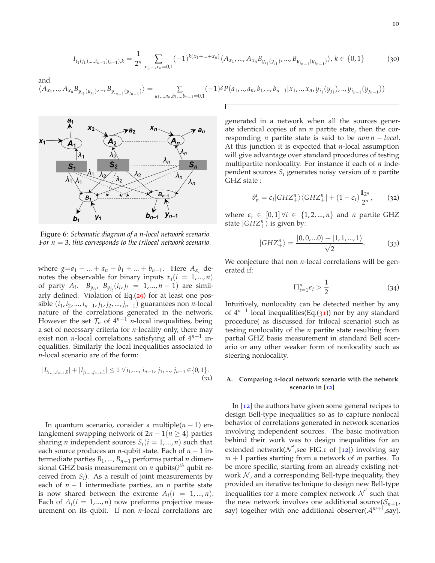$$
I_{i_1(j_1),\dots,i_{n-1}(j_{n-1}),k} = \frac{1}{2^n} \sum_{x_1,\dots,x_n=0,1} (-1)^{k(x_1+\dots+x_n)} \langle A_{x_1},\dots,A_{x_n} B_{y_{i_1}(y_{j_1})},\dots,B_{y_{i_{n-1}}(y_{j_{n-1}})} \rangle, k \in \{0,1\}
$$
(30)

and

 $\langle A_{x_1},..., A_{x_n}B_{y_{i_1}(y_{j_1})},..., B_{y_{i_{n-1}}(y_{j_{n-1}})} \rangle = \sum_{a_1,...,a_n,b_1,...b_n}$ *a*1 ,..,*an*,*b*<sup>1</sup> ,..,*bn*−1=0,1  $(-1)$ *<sup>g</sup>P*(*a*1, .., *<sup>a</sup>n*, *<sup>b</sup>*1, .., *<sup>b</sup>n*−1|*x*1, .., *<sup>x</sup>n*, *<sup>y</sup>i*<sup>1</sup>  $(y_{j_1})$ ), .., *<sup>y</sup>in*−<sup>1</sup>



Figure 6: *Schematic diagram of a n-local network scenario. For n* = 3*, this corresponds to the trilocal network scenario.*

where  $g=a_1 + ... + a_n + b_1 + ... + b_{n-1}$ . Here  $A_{x_i}$  denotes the observable for binary inputs  $x_i$  ( $i = 1, ..., n$ ) of party  $A_i$ .  $B_{y_{i_1}}$ ,  $B_{y_{j_1}}(i_1, j_1 = 1, ..., n-1)$  are similarly defined. Violation of Eq.([29](#page-8-1)) for at least one possible  $(i_1, i_2, ..., i_{n-1}, j_1, j_2, ..., j_{n-1})$  guarantees non *n*-local nature of the correlations generated in the network. However the set  $\mathcal{T}_n$  of  $4^{n-1}$  *n*-local inequalities, being a set of necessary criteria for *n*-locality only, there may exist non *n*-local correlations satisfying all of 4*n*−<sup>1</sup> inequalities. Similarly the local inequalities associated to *n*-local scenario are of the form:

$$
|I_{i_1,\dots,i_{n-1},0}|+|I_{j_1,\dots,j_{n-1},1}| \le 1 \,\forall \, i_1,\dots,\, i_{n-1},\, j_1,\dots,\, j_{n-1} \in \{0,1\}.
$$
\n(31)

In quantum scenario, consider a multiple(*n* − 1) entanglement swapping network of  $2n - 1(n \ge 4)$  parties sharing *n* independent sources  $S_i$  ( $i = 1, ..., n$ ) such that each source produces an *n*-qubit state. Each of *n* − 1 intermediate parties *B*1, ..., *Bn*−<sup>1</sup> performs partial *n* dimensional GHZ basis measurement on *n* qubits(*i th* qubit received from  $S_i$ ). As a result of joint measurements by each of *n* − 1 intermediate parties, an *n* partite state is now shared between the extreme  $A_i(i = 1, ..., n)$ . Each of  $A_i$  ( $i = 1, ..., n$ ) now preforms projective measurement on its qubit. If non *n*-local correlations are

$$
{}^{\beta}P(a_1,..,a_n,b_1,..,b_{n-1}|x_1,..,x_n,y_{i_1}(y_{j_1}),..,y_{i_{n-1}}(y_{j_{n-1}}))
$$

generated in a network when all the sources generate identical copies of an *n* partite state, then the corresponding *n* partite state is said to be *non n* − *local*. At this junction it is expected that *n*-local assumption will give advantage over standard procedures of testing multipartite nonlocality. For instance if each of *n* independent sources *S<sup>i</sup>* generates noisy version of *n* partite GHZ state :

$$
\vartheta_n^i = \epsilon_i |GHZ_+^n\rangle\langle GHZ_+^n| + (1 - \epsilon_i)\frac{\mathbb{I}_{2^n}}{2^n},\qquad(32)
$$

where  $\epsilon_i \in [0,1] \forall i \in \{1, 2, ..., n\}$  and *n* partite GHZ state  $|GHZ^n_+\rangle$  is given by:

$$
|GHZ_{+}^{n}\rangle = \frac{|0,0,...0\rangle + |1,1,...,1\rangle}{\sqrt{2}}.
$$
 (33)

We conjecture that non *n*-local correlations will be generated if:

$$
\Pi_{i=1}^{n} \epsilon_i > \frac{1}{2}.\tag{34}
$$

Intuitively, nonlocality can be detected neither by any of 4*n*−<sup>1</sup> local inequalities(Eq.([31](#page-9-0))) nor by any standard procedure( as discussed for trilocal scenario) such as testing nonlocality of the *n* partite state resulting from partial GHZ basis measurement in standard Bell scenario or any other weaker form of nonlocality such as steering nonlocality.

# <span id="page-9-0"></span>**A. Comparing** *n***-local network scenario with the network scenario in [[12](#page-11-26)]**

In [[12](#page-11-26)] the authors have given some general recipes to design Bell-type inequalities so as to capture nonlocal behavior of correlations generated in network scenarios involving independent sources. The basic motivation behind their work was to design inequalities for an extended network( $\mathcal{N}^{\prime}$ , see FIG.1 of [[12](#page-11-26)]) involving say *m* + 1 parties starting from a network of *m* parties. To be more specific, starting from an already existing network  $N$ , and a corresponding Bell-type inequality, they provided an iterative technique to design new Bell-type inequalities for a more complex network  $\mathcal{N}'$  such that the new network involves one additional source( $S_{n+1}$ , say) together with one additional observer( $\mathcal{A}^{m+1}$ , say).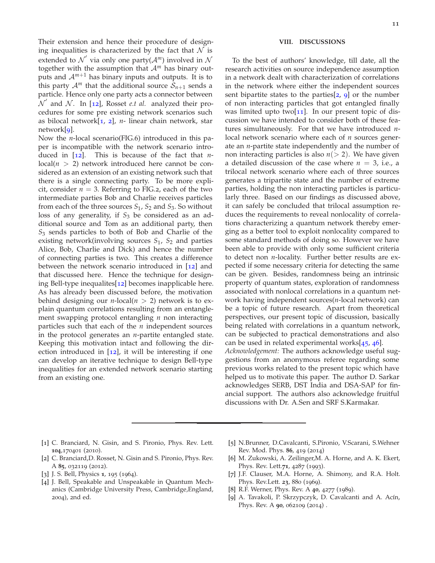Their extension and hence their procedure of designing inequalities is characterized by the fact that  $\mathcal N$  is extended to  $\mathcal{N}'$  via only one party( $\mathcal{A}^{m}$ ) involved in  $\mathcal{N}$ together with the assumption that <sup>A</sup>*<sup>m</sup>* has binary outputs and  $A^{m+1}$  has binary inputs and outputs. It is to this party  $A^m$  that the additional source  $S_{n+1}$  sends a particle. Hence only one party acts a connector between  $\mathcal{N}'$  and  $\mathcal{N}$ . In [[12](#page-11-26)], Rosset *e.t al.* analyzed their procedures for some pre existing network scenarios such as bilocal network[[1](#page-10-5), [2](#page-10-6)], *n*- linear chain network, star network[[9](#page-10-8)].

Now the *n*-local scenario(FIG.6) introduced in this paper is incompatible with the network scenario introduced in [[12](#page-11-26)]. This is because of the fact that *n* $local(n > 2)$  network introduced here cannot be considered as an extension of an existing network such that there is a single connecting party. To be more explicit, consider  $n = 3$ . Referring to FIG.2, each of the two intermediate parties Bob and Charlie receives particles from each of the three sources *S*<sup>1</sup> , *S*<sup>2</sup> and *S*3. So without loss of any generality, if *S*<sup>3</sup> be considered as an additional source and Tom as an additional party, then *S*<sup>3</sup> sends particles to both of Bob and Charlie of the existing network(involving sources *S*<sup>1</sup> , *S*<sup>2</sup> and parties Alice, Bob, Charlie and Dick) and hence the number of connecting parties is two. This creates a difference between the network scenario introduced in  $[12]$  $[12]$  $[12]$  and that discussed here. Hence the technique for designing Bell-type inequalites[[12](#page-11-26)] becomes inapplicable here. As has already been discussed before, the motivation behind designing our  $n$ -local( $n > 2$ ) network is to explain quantum correlations resulting from an entanglement swapping protocol entangling *n* non interacting particles such that each of the *n* independent sources in the protocol generates an *n*-partite entangled state. Keeping this motivation intact and following the direction introduced in [[12](#page-11-26)], it will be interesting if one can develop an iterative technique to design Bell-type inequalities for an extended network scenario starting from an existing one.

# <span id="page-10-9"></span>**VIII. DISCUSSIONS**

To the best of authors' knowledge, till date, all the research activities on source independence assumption in a network dealt with characterization of correlations in the network where either the independent sources sent bipartite states to the parties  $[2, 9]$  $[2, 9]$  $[2, 9]$  $[2, 9]$  $[2, 9]$  or the number of non interacting particles that got entangled finally was limited upto two[ $11$ ]. In our present topic of discussion we have intended to consider both of these features simultaneously. For that we have introduced *n*local network scenario where each of *n* sources generate an *n*-partite state independently and the number of non interacting particles is also  $n(> 2)$ . We have given a detailed discussion of the case where  $n = 3$ , i.e., a trilocal network scenario where each of three sources generates a tripartite state and the number of extreme parties, holding the non interacting particles is particularly three. Based on our findings as discussed above, it can safely be concluded that trilocal assumption reduces the requirements to reveal nonlocality of correlations characterizing a quantum network thereby emerging as a better tool to exploit nonlocality compared to some standard methods of doing so. However we have been able to provide with only some sufficient criteria to detect non *n*-locality. Further better results are expected if some necessary criteria for detecting the same can be given. Besides, randomness being an intrinsic property of quantum states, exploration of randomness associated with nonlocal correlations in a quantum network having independent sources(*n*-local network) can be a topic of future research. Apart from theoretical perspectives, our present topic of discussion, basically being related with correlations in a quantum network, can be subjected to practical demonstrations and also can be used in related experimental works $[45, 46]$  $[45, 46]$  $[45, 46]$  $[45, 46]$  $[45, 46]$ . *Acknowledgement:* The authors acknowledge useful suggestions from an anonymous referee regarding some previous works related to the present topic which have helped us to motivate this paper. The author D. Sarkar acknowledges SERB, DST India and DSA-SAP for financial support. The authors also acknowledge fruitful discussions with Dr. A.Sen and SRF S.Karmakar.

- <span id="page-10-5"></span>[1] C. Branciard, N. Gisin, and S. Pironio, Phys. Rev. Lett. **104**,170401 (2010).
- <span id="page-10-6"></span>[2] C. Branciard,D. Rosset, N. Gisin and S. Pironio, Phys. Rev. A **85**, 032119 (2012).
- <span id="page-10-0"></span>[3] J. S. Bell, Physics **1**, 195 (1964).
- <span id="page-10-1"></span>[4] J. Bell, Speakable and Unspeakable in Quantum Mechanics (Cambridge University Press, Cambridge,England, 2004), 2nd ed.
- <span id="page-10-2"></span>[5] N.Brunner, D.Cavalcanti, S.Pironio, V.Scarani, S.Wehner Rev. Mod. Phys. **86**, 419 (2014)
- <span id="page-10-3"></span>[6] M. Zukowski, A. Zeilinger,M. A. Horne, and A. K. Ekert, Phys. Rev. Lett.**71**, 4287 (1993).
- <span id="page-10-4"></span>[7] J.F. Clauser, M.A. Horne, A. Shimony, and R.A. Holt. Phys. Rev.Lett. **23**, 880 (1969).
- <span id="page-10-7"></span>[8] R.F. Werner, Phys. Rev. A **40**, 4277 (1989).
- <span id="page-10-8"></span>[9] A. Tavakoli, P. Skrzypczyk, D. Cavalcanti and A. Acín, Phys. Rev. A **90**, 062109 (2014) .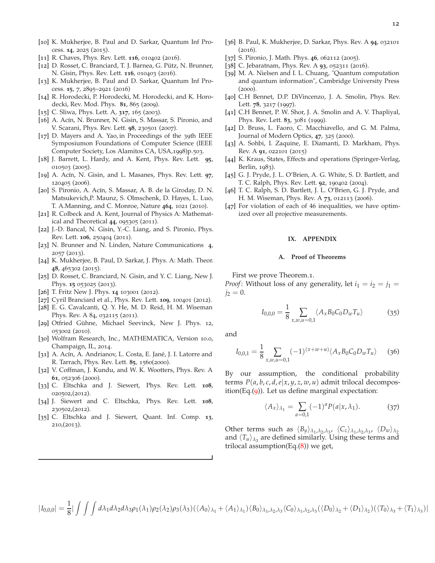- <span id="page-11-1"></span>[10] K. Mukherjee, B. Paul and D. Sarkar, Quantum Inf Process. **14**, 2025 (2015).
- <span id="page-11-2"></span>[11] R. Chaves, Phys. Rev. Lett. **116**, 010402 (2016).
- <span id="page-11-26"></span>[12] D. Rosset, C. Branciard, T. J. Barnea, G. Pütz, N. Brunner, N. Gisin, Phys. Rev. Lett. **116**, 010403 (2016).
- <span id="page-11-0"></span>[13] K. Mukherjee, B. Paul and D. Sarkar, Quantum Inf Process. **15**, 7, 2895–2921 (2016)
- <span id="page-11-3"></span>[14] R. Horodecki, P. Horodecki, M. Horodecki, and K. Horodecki, Rev. Mod. Phys. **81**, 865 (2009).
- <span id="page-11-4"></span>[15] C. Sliwa, Phys. Lett. A, **317**, 165 (2003).
- <span id="page-11-5"></span>[16] A. Acín, N. Brunner, N. Gisin, S. Massar, S. Pironio, and V. Scarani, Phys. Rev. Lett. **98**, 230501 (2007).
- [17] D. Mayers and A. Yao, in Proceedings of the 39th IEEE Symposiumon Foundations of Computer Science (IEEE Computer Society, Los Alamitos CA, USA,1998)p.503.
- [18] J. Barrett, L. Hardy, and A. Kent, Phys. Rev. Lett. **95**, 010503 (2005).
- <span id="page-11-6"></span>[19] A. Acín, N. Gisin, and L. Masanes, Phys. Rev. Lett. **97**, 120405 (2006).
- <span id="page-11-7"></span>[20] S. Pironio, A. Acín, S. Massar, A. B. de la Giroday, D. N. Matsukevich,P. Maunz, S. Olmschenk, D. Hayes, L. Luo, T. A.Manning, and C. Monroe, Nature **464**, 1021 (2010).
- <span id="page-11-8"></span>[21] R. Colbeck and A. Kent, Journal of Physics A: Mathematical and Theoretical **44**, 095305 (2011).
- <span id="page-11-9"></span>[22] J.-D. Bancal, N. Gisin, Y.-C. Liang, and S. Pironio, Phys. Rev. Lett. **106**, 250404 (2011).
- <span id="page-11-10"></span>[23] N. Brunner and N. Linden, Nature Communications **4**, 2057 (2013).
- [24] K. Mukherjee, B. Paul, D. Sarkar, J. Phys. A: Math. Theor. **48**, 465302 (2015).
- <span id="page-11-11"></span>[25] D. Rosset, C. Branciard, N. Gisin, and Y. C. Liang, New J. Phys. **15** 053025 (2013).
- [26] T. Fritz New J. Phys. **14** 103001 (2012).
- <span id="page-11-12"></span>[27] Cyril Branciard et al., Phys. Rev. Lett. **109**, 100401 (2012).
- <span id="page-11-13"></span>[28] E. G. Cavalcanti, Q. Y. He, M. D. Reid, H. M. Wiseman Phys. Rev. A 84, 032115 (2011).
- <span id="page-11-14"></span>[29] Otfried Gühne, Michael Seevinck, New J. Phys. 12, 053002 (2010).
- <span id="page-11-15"></span>[30] Wolfram Research, Inc., MATHEMATICA, Version 10.0, Champaign, IL, 2014.
- <span id="page-11-16"></span>[31] A. Acín, A. Andrianov, L. Costa, E. Jané, J. I. Latorre and R. Tarrach, Phys. Rev. Lett. **85**, 1560(2000).
- <span id="page-11-17"></span>[32] V. Coffman, J. Kundu, and W. K. Wootters, Phys. Rev. A **61**, 052306 (2000).
- <span id="page-11-18"></span>[33] C. Eltschka and J. Siewert, Phys. Rev. Lett. **108**, 020502,(2012).
- [34] J. Siewert and C. Eltschka, Phys. Rev. Lett. **108**, 230502,(2012).
- [35] C. Eltschka and J. Siewert, Quant. Inf. Comp. **13**, 210,(2013).
- <span id="page-11-19"></span>[36] B. Paul, K. Mukherjee, D. Sarkar, Phys. Rev. A **94**, 032101 (2016).
- <span id="page-11-20"></span>[37] S. Pironio, J. Math. Phys. **46**, 062112 (2005).
- <span id="page-11-21"></span>[38] C. Jebaratnam, Phys. Rev. A **93**, 052311 (2016).
- <span id="page-11-22"></span>[39] M. A. Nielsen and I. L. Chuang, "Quantum computation and quantum information", Cambridge University Press  $(2000)$
- [40] C.H Bennet, D.P. DiVincenzo, J. A. Smolin, Phys. Rev. Lett. **78**, 3217 (1997).
- [41] C.H Bennet, P. W. Shor, J. A. Smolin and A. V. Thapliyal, Phys. Rev. Lett. **83**, 3081 (1999).
- <span id="page-11-23"></span>[42] D. Bruss, L. Faoro, C. Macchiavello, and G. M. Palma, Journal of Modern Optics, **47**, 325 (2000).
- <span id="page-11-25"></span>[43] A. Sohbi, I. Zaquine, E. Diamanti, D. Markham, Phys. Rev. A **91**, 022101 (2015)
- <span id="page-11-29"></span>[44] K. Kraus, States, Effects and operations (Springer-Verlag, Berlin, 1983).
- <span id="page-11-27"></span>[45] G. J. Pryde, J. L. O'Brien, A. G. White, S. D. Bartlett, and T. C. Ralph, Phys. Rev. Lett. **92**, 190402 (2004).
- <span id="page-11-28"></span>[46] T. C. Ralph, S. D. Bartlett, J. L. O'Brien, G. J. Pryde, and H. M. Wiseman, Phys. Rev. A **73**, 012113 (2006).
- <span id="page-11-24"></span>[47] For violation of each of 46 inequalities, we have optimized over all projective measurements.

# **IX. APPENDIX**

# **A. Proof of Theorems**

First we prove Theorem.1.

*Proof*: Without loss of any generality, let  $i_1 = i_2 = j_1 =$  $j_2 = 0.$ 

$$
I_{0,0,0} = \frac{1}{8} \sum_{x,w,u=0,1} \langle A_x B_0 C_0 D_w T_u \rangle \tag{35}
$$

and

$$
I_{0,0,1} = \frac{1}{8} \sum_{x,w,u=0,1} (-1)^{(x+w+u)} \langle A_x B_0 C_0 D_w T_u \rangle \qquad (36)
$$

By our assumption, the conditional probability terms  $P(a, b, c, d, e | x, y, z, w, u)$  admit trilocal decomposition(Eq.([9](#page-3-5))). Let us define marginal expectation:

$$
\langle A_x \rangle_{\lambda_1} = \sum_{a=0,1} (-1)^a P(a|x, \lambda_1). \tag{37}
$$

Other terms such as  $\langle B_y \rangle_{\lambda_1, \lambda_2, \lambda_3}$ ,  $\langle C_z \rangle_{\lambda_1, \lambda_2, \lambda_3}$ ,  $\langle D_w \rangle_{\lambda_2}$ and  $\langle T_u \rangle_{\lambda_3}$  are defined similarly. Using these terms and trilocal assumption(Eq. $(8)$  $(8)$  $(8)$ ) we get,

$$
|I_{0,0,0}|=\frac{1}{8}|\int\int\int d\lambda_1 d\lambda_2 d\lambda_3 \rho_1(\lambda_1)\rho_2(\lambda_2)\rho_3(\lambda_3)(\langle A_0\rangle_{\lambda_1}+\langle A_1\rangle_{\lambda_1})\langle B_0\rangle_{\lambda_1,\lambda_2,\lambda_3}\langle C_0\rangle_{\lambda_1,\lambda_2,\lambda_3}(\langle D_0\rangle_{\lambda_2}+\langle D_1\rangle_{\lambda_2})(\langle T_0\rangle_{\lambda_3}+\langle T_1\rangle_{\lambda_3})|
$$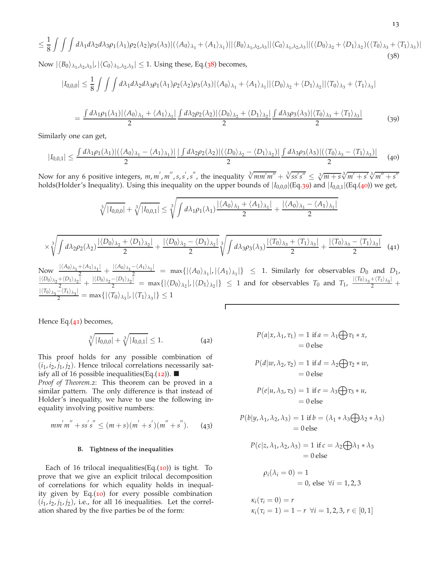<span id="page-12-0"></span>
$$
\leq \frac{1}{8} \int \int \int d\lambda_1 d\lambda_2 d\lambda_3 \rho_1(\lambda_1) \rho_2(\lambda_2) \rho_3(\lambda_3) |(\langle A_0 \rangle_{\lambda_1} + \langle A_1 \rangle_{\lambda_1})| |\langle B_0 \rangle_{\lambda_1, \lambda_2, \lambda_3}| |\langle C_0 \rangle_{\lambda_1, \lambda_2, \lambda_3}| |(\langle D_0 \rangle_{\lambda_2} + \langle D_1 \rangle_{\lambda_2}) (\langle T_0 \rangle_{\lambda_3} + \langle T_1 \rangle_{\lambda_3})|
$$
\n
$$
\text{Now } |\langle B_0 \rangle_{\lambda_1, \lambda_2, \lambda_3}|, |\langle C_0 \rangle_{\lambda_1, \lambda_2, \lambda_3}| \leq 1. \text{ Using these, Eq.(38) becomes,}
$$
\n
$$
(38)
$$

<span id="page-12-1"></span>
$$
|I_{0,0,0}|\leq \frac{1}{8}\int\int\int d\lambda_1 d\lambda_2 d\lambda_3 \rho_1(\lambda_1)\rho_2(\lambda_2)\rho_3(\lambda_3)|\langle A_0\rangle_{\lambda_1}+\langle A_1\rangle_{\lambda_1}||\langle D_0\rangle_{\lambda_2}+\langle D_1\rangle_{\lambda_2}||\langle T_0\rangle_{\lambda_3}+\langle T_1\rangle_{\lambda_3}|
$$

<span id="page-12-2"></span>
$$
=\frac{\int d\lambda_1 \rho_1(\lambda_1)|\langle A_0\rangle_{\lambda_1} + \langle A_1\rangle_{\lambda_1}|}{2} \frac{\int d\lambda_2 \rho_2(\lambda_2)|\langle D_0\rangle_{\lambda_2} + \langle D_1\rangle_{\lambda_2}|}{2} \frac{\int d\lambda_3 \rho_3(\lambda_3)|\langle T_0\rangle_{\lambda_3} + \langle T_1\rangle_{\lambda_3}|}{2}
$$
(39)

Similarly one can get,

$$
|I_{0,0,1}| \leq \frac{\int d\lambda_1 \rho_1(\lambda_1) |(\langle A_0 \rangle_{\lambda_1} - \langle A_1 \rangle_{\lambda_1})|}{2} \frac{|\int d\lambda_2 \rho_2(\lambda_2)|(\langle D_0 \rangle_{\lambda_2} - \langle D_1 \rangle_{\lambda_2})|}{2} \frac{\int d\lambda_3 \rho_3(\lambda_3) |(\langle T_0 \rangle_{\lambda_3} - \langle T_1 \rangle_{\lambda_3})|}{2} \tag{40}
$$

Now for any 6 positive integers, m, m', m'', s, s', s'', the inequality  $\sqrt[3]{mm'm''} + \sqrt[3]{ss's''} \leq \sqrt[3]{m+s}\sqrt[3]{m''+s'}$ holds(Holder's Inequality). Using this inequality on the upper bounds of  $|I_{0,0,0}|(Eq.39)$  $|I_{0,0,0}|(Eq.39)$  $|I_{0,0,0}|(Eq.39)$  and  $|I_{0,0,1}|(Eq.(40))$  $|I_{0,0,1}|(Eq.(40))$  $|I_{0,0,1}|(Eq.(40))$  we get,

$$
\sqrt[3]{|I_{0,0,0}|} + \sqrt[3]{|I_{0,0,1}|} \le \sqrt[3]{\int d\lambda_1 \rho_1(\lambda_1) \frac{|\langle A_0 \rangle_{\lambda_1} + \langle A_1 \rangle_{\lambda_1}|}{2} + \frac{|\langle A_0 \rangle_{\lambda_1} - \langle A_1 \rangle_{\lambda_1}|}{2}}
$$

<span id="page-12-3"></span>
$$
\times\sqrt[3]{\int d\lambda_2\rho_2(\lambda_2)\frac{|\langle D_0\rangle_{\lambda_2} + \langle D_1\rangle_{\lambda_2}|}{2} + \frac{|\langle D_0\rangle_{\lambda_2} - \langle D_1\rangle_{\lambda_2}|}{2}\sqrt[3]{\int d\lambda_3\rho_3(\lambda_3)\frac{|\langle T_0\rangle_{\lambda_3} + \langle T_1\rangle_{\lambda_3}|}{2} + \frac{|\langle T_0\rangle_{\lambda_3} - \langle T_1\rangle_{\lambda_3}|}{2}} \tag{41}
$$

 $\lim_{h\to\infty}\frac{|\langle A_0\rangle_{\lambda_1}+\langle A_1\rangle_{\lambda_1}|}{2}+\frac{|\langle A_0\rangle_{\lambda_1}-\langle A_1\rangle_{\lambda_1}|}{2} = \max\{|\langle A_0\rangle_{\lambda_1}|, |\langle A_1\rangle_{\lambda_1}|\} \leq 1$ . Similarly for observables *D*<sub>0</sub> and *D*<sub>1</sub>,  $\frac{|\langle D_0 \rangle_{\lambda_2} + \langle D_1 \rangle_{\lambda_2}|}{2\langle D_1 \rangle_{\lambda_1}} + \frac{|\langle D_0 \rangle_{\lambda_2} - \langle D_1 \rangle_{\lambda_2}|}{2} = \max\{|\langle D_0 \rangle_{\lambda_2}|, |\langle D_1 \rangle_{\lambda_2}|\} \le 1$  and for observables  $T_0$  and  $T_1$ ,  $\frac{|\langle T_0 \rangle_{\lambda_3} + \langle T_1 \rangle_{\lambda_3}|}{2}$  $\frac{|\langle T_0 \rangle_{\lambda_3} - \langle T_1 \rangle_{\lambda_3}|}{2}$  = max { $|\langle T_0 \rangle_{\lambda_3}|$ ,  $|\langle T_1 \rangle_{\lambda_3}|$ }  $\leq 1$ 

Г

Hence Eq.([41](#page-12-3)) becomes,

$$
\sqrt[3]{|I_{0,0,0}|} + \sqrt[3]{|I_{0,0,1}|} \le 1.
$$
 (42)

This proof holds for any possible combination of  $(i_1, i_2, j_1, j_2)$ . Hence trilocal correlations necessarily sat-isfy all of 16 possible inequalities(Eq.([12](#page-4-2))).  $\blacksquare$ 

*Proof of Theorem.2*: This theorem can be proved in a similar pattern. The only difference is that instead of Holder's inequality, we have to use the following inequality involving positive numbers:

$$
mm'm'' + ss's'' \le (m+s)(m'+s')(m''+s''). \tag{43}
$$

#### **B. Tightness of the inequalities**

Each of 16 trilocal inequalities(Eq. $(10)$  $(10)$  $(10)$ ) is tight. To prove that we give an explicit trilocal decomposition of correlations for which equality holds in inequality given by Eq.([10](#page-4-1)) for every possible combination  $(i_1, i_2, j_1, j_2)$ , i.e., for all 16 inequalities. Let the correlation shared by the five parties be of the form:

$$
P(a|x, \lambda_1, \tau_1) = 1 \text{ if } a = \lambda_1 \bigoplus \tau_1 * x,
$$
  
= 0 else  

$$
P(d|w, \lambda_2, \tau_2) = 1 \text{ if } d = \lambda_2 \bigoplus \tau_2 * w,
$$

$$
P(e|u, \lambda_3, \tau_3) = 1 \text{ if } e = \lambda_3 \bigoplus \tau_3 * u,
$$
  
= 0 else

 $= 0$  else

$$
P(b|y, \lambda_1, \lambda_2, \lambda_3) = 1 \text{ if } b = (\lambda_1 * \lambda_3 \bigoplus \lambda_2 * \lambda_3)
$$
  
= 0 else

$$
P(c|z, \lambda_1, \lambda_2, \lambda_3) = 1 \text{ if } c = \lambda_2 \bigoplus \lambda_1 * \lambda_3
$$
  
= 0 else

$$
\rho_i(\lambda_i = 0) = 1
$$
  
= 0, else  $\forall i = 1, 2, 3$ 

$$
\kappa_i(\tau_i = 0) = r
$$
  
\n
$$
\kappa_i(\tau_i = 1) = 1 - r \quad \forall i = 1, 2, 3, r \in [0, 1]
$$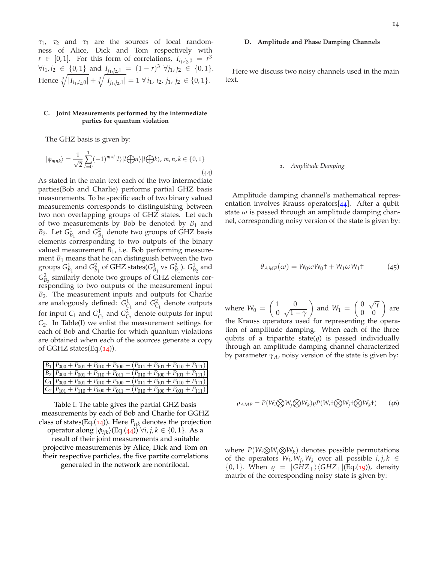$τ_1$ ,  $τ_2$  and  $τ_3$  are the sources of local randomness of Alice, Dick and Tom respectively with  $r \in [0, 1]$ . For this form of correlations,  $I_{i_1, i_2, 0} = r^3$  $\forall i_1, i_2 \in \{0, 1\}$  and  $I_{j_1, j_2, 1} = (1 - r)^3 \; \forall j_1, j_2 \in \{0, 1\}.$ Hence  $\sqrt[3]{|I_{i_1,i_2,0}|} + \sqrt[3]{|I_{j_1,j_2,1}|} = 1 \ \forall i_1, i_2, j_1, j_2 \in \{0,1\}.$ 

# **C. Joint Measurements performed by the intermediate parties for quantum violation**

<span id="page-13-0"></span>The GHZ basis is given by:

$$
|\phi_{mnk}\rangle = \frac{1}{\sqrt{2}} \sum_{l=0}^{1} (-1)^{m+l} |l\rangle |l \bigoplus n\rangle |l \bigoplus k\rangle, m, n, k \in \{0, 1\}
$$
\n(44)

As stated in the main text each of the two intermediate parties(Bob and Charlie) performs partial GHZ basis measurements. To be specific each of two binary valued measurements corresponds to distinguishing between two non overlapping groups of GHZ states. Let each of two measurements by Bob be denoted by  $B_1$  and  $B_2$ . Let  $G_{B_1}^1$  and  $G_{B_1}^2$  denote two groups of GHZ basis elements corresponding to two outputs of the binary valued measurement *B*<sub>1</sub>, i.e. Bob performing measurement  $B_1$  means that he can distinguish between the two groups  $G_{B_1}^1$  and  $G_{B_1}^2$  of GHZ states( $G_{B_1}^1$  vs  $G_{B_1}^2$ ).  $G_{B_2}^1$  and  $G_{B_2}^2$  similarly denote two groups of GHZ elements corresponding to two outputs of the measurement input *B*2. The measurement inputs and outputs for Charlie are analogously defined:  $G_{C_1}^1$  and  $G_{C_1}^2$  denote outputs for input  $C_1$  and  $G_{C_2}^1$  and  $G_{C_2}^2$  denote outputs for input *C*2. In Table(I) we enlist the measurement settings for each of Bob and Charlie for which quantum violations are obtained when each of the sources generate a copy of GGHZ states(Eq. $(14)$  $(14)$  $(14)$ ).

| $\boxed{B_1 \mid P_{000} + P_{001} + P_{010} + P_{100} - (P_{011} + P_{101} + P_{110} + P_{111})}$    |
|-------------------------------------------------------------------------------------------------------|
| $\boxed{B_2 \mid P_{000} + P_{001} + P_{110} + P_{011} - (P_{010} + P_{100} + P_{101} + P_{111})}$    |
| $C_1$ $P_{000}$ + $P_{001}$ + $P_{010}$ + $P_{100}$ – $(P_{011}$ + $P_{101}$ + $P_{110}$ + $P_{111})$ |
| $C_2$ $P_{101}$ + $P_{110}$ + $P_{000}$ + $P_{011}$ – $(P_{010}$ + $P_{100}$ + $P_{001}$ + $P_{111})$ |

Table I: The table gives the partial GHZ basis measurements by each of Bob and Charlie for GGHZ class of states(Eq.([14](#page-5-0))). Here *Pijk* denotes the projection operator along  $|\phi_{ijk}\rangle$ (Eq.([44](#page-13-0)))  $\forall i, j, k \in \{0, 1\}$ . As a result of their joint measurements and suitable projective measurements by Alice, Dick and Tom on their respective particles, the five partite correlations generated in the network are nontrilocal.

#### **D. Amplitude and Phase Damping Channels**

Here we discuss two noisy channels used in the main text.

#### *1. Amplitude Damping*

Amplitude damping channel's mathematical representation involves Krauss operators $[44]$  $[44]$  $[44]$ . After a qubit state *ω* is passed through an amplitude damping channel, corresponding noisy version of the state is given by:

<span id="page-13-1"></span>
$$
\theta_{AMP}(\omega) = W_0 \omega W_0 + W_1 \omega W_1 + \tag{45}
$$

where  $W_0 =$  $(1 0)$  $\int_0^{\infty} \sqrt{1-\gamma}$  $\overline{\phantom{0}}$ and  $W_1 =$  $\left(\begin{array}{cc} 0 & \sqrt{\gamma}\\ 0 & 0 \end{array}\right)$  are the Krauss operators used for representing the operation of amplitude damping. When each of the three qubits of a tripartite state(*̺*) is passed individually through an amplitude damping channel characterized by parameter  $\gamma_A$ , noisy version of the state is given by:

$$
\varrho_{AMP} = P(W_i \bigotimes W_j \bigotimes W_k) \varrho P(W_i \dagger \bigotimes W_j \dagger \bigotimes W_k \dagger) \tag{46}
$$

where  $P(W_i \otimes W_j \otimes W_k)$  denotes possible permutations of the operators  $W_i$ ,  $W_j$ ,  $W_k$  over all possible  $i, j, k \in$  $\{0, 1\}$ . When  $\varrho = |GHZ_+\rangle\langle GHZ_+|(Eq.(19))$  $\varrho = |GHZ_+\rangle\langle GHZ_+|(Eq.(19))$  $\varrho = |GHZ_+\rangle\langle GHZ_+|(Eq.(19))$ , density matrix of the corresponding noisy state is given by: